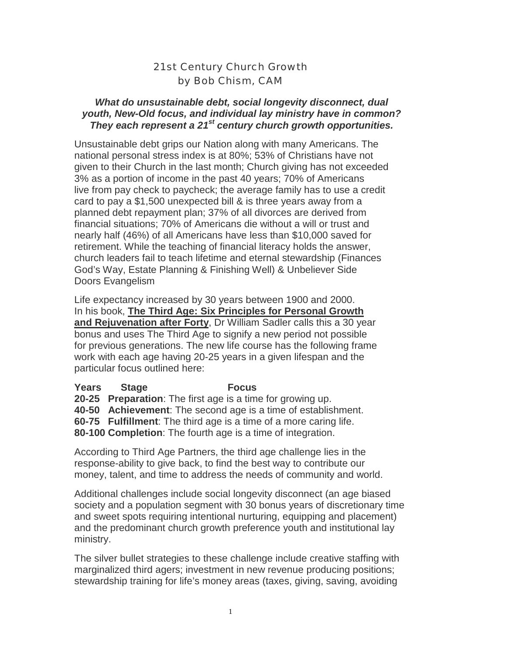## 21st Century Church Growth by Bob Chism, CAM

## *What do unsustainable debt, social longevity disconnect, dual youth, New-Old focus, and individual lay ministry have in common? They each represent a 21st century church growth opportunities.*

Unsustainable debt grips our Nation along with many Americans. The national personal stress index is at 80%; 53% of Christians have not given to their Church in the last month; Church giving has not exceeded 3% as a portion of income in the past 40 years; 70% of Americans live from pay check to paycheck; the average family has to use a credit card to pay a \$1,500 unexpected bill & is three years away from a planned debt repayment plan; 37% of all divorces are derived from financial situations; 70% of Americans die without a will or trust and nearly half (46%) of all Americans have less than \$10,000 saved for retirement. While the teaching of financial literacy holds the answer, church leaders fail to teach lifetime and eternal stewardship (Finances God's Way, Estate Planning & Finishing Well) & Unbeliever Side Doors Evangelism

Life expectancy increased by 30 years between 1900 and 2000. In his book, **The Third Age: Six Principles for Personal Growth and Rejuvenation after Forty**, Dr William Sadler calls this a 30 year bonus and uses The Third Age to signify a new period not possible for previous generations. The new life course has the following frame work with each age having 20-25 years in a given lifespan and the particular focus outlined here:

## **Years Stage Focus**

**20-25 Preparation**: The first age is a time for growing up.

**40-50 Achievement**: The second age is a time of establishment.

**60-75 Fulfillment**: The third age is a time of a more caring life.

**80-100 Completion**: The fourth age is a time of integration.

According to Third Age Partners, the third age challenge lies in the response-ability to give back, to find the best way to contribute our money, talent, and time to address the needs of community and world.

Additional challenges include social longevity disconnect (an age biased society and a population segment with 30 bonus years of discretionary time and sweet spots requiring intentional nurturing, equipping and placement) and the predominant church growth preference youth and institutional lay ministry.

The silver bullet strategies to these challenge include creative staffing with marginalized third agers; investment in new revenue producing positions; stewardship training for life's money areas (taxes, giving, saving, avoiding